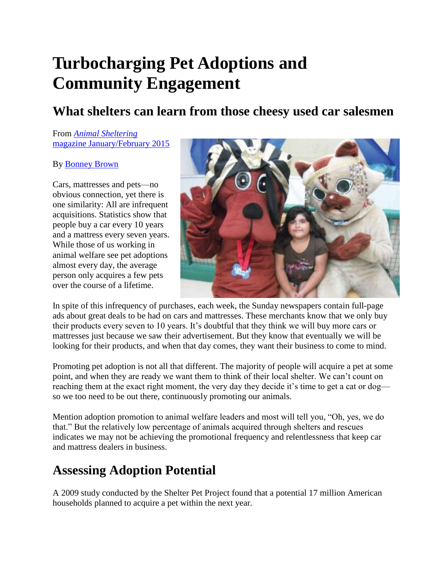# **Turbocharging Pet Adoptions and Community Engagement**

#### **What shelters can learn from those cheesy used car salesmen**

#### From *[Animal Sheltering](http://www.animalsheltering.org/magazine/2015/january-february)* [magazine January/February 2015](http://www.animalsheltering.org/magazine/2015/january-february)

#### By [Bonney Brown](http://www.animalsheltering.org/authors/bonney-brown)

Cars, mattresses and pets—no obvious connection, yet there is one similarity: All are infrequent acquisitions. Statistics show that people buy a car every 10 years and a mattress every seven years. While those of us working in animal welfare see pet adoptions almost every day, the average person only acquires a few pets over the course of a lifetime.



In spite of this infrequency of purchases, each week, the Sunday newspapers contain full-page ads about great deals to be had on cars and mattresses. These merchants know that we only buy their products every seven to 10 years. It's doubtful that they think we will buy more cars or mattresses just because we saw their advertisement. But they know that eventually we will be looking for their products, and when that day comes, they want their business to come to mind.

Promoting pet adoption is not all that different. The majority of people will acquire a pet at some point, and when they are ready we want them to think of their local shelter. We can't count on reaching them at the exact right moment, the very day they decide it's time to get a cat or dog so we too need to be out there, continuously promoting our animals.

Mention adoption promotion to animal welfare leaders and most will tell you, "Oh, yes, we do that." But the relatively low percentage of animals acquired through shelters and rescues indicates we may not be achieving the promotional frequency and relentlessness that keep car and mattress dealers in business.

### **Assessing Adoption Potential**

A 2009 study conducted by the Shelter Pet Project found that a potential 17 million American households planned to acquire a pet within the next year.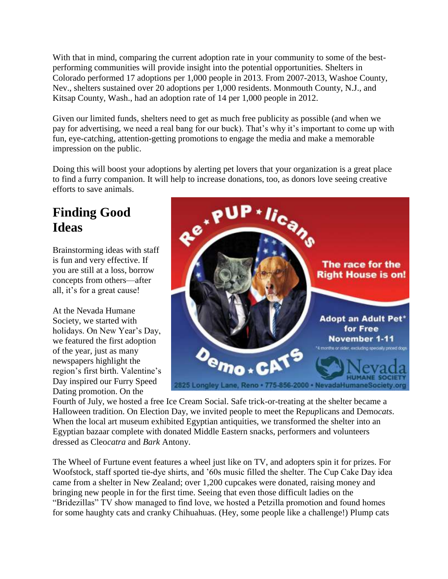With that in mind, comparing the current adoption rate in your community to some of the bestperforming communities will provide insight into the potential opportunities. Shelters in Colorado performed 17 adoptions per 1,000 people in 2013. From 2007-2013, Washoe County, Nev., shelters sustained over 20 adoptions per 1,000 residents. Monmouth County, N.J., and Kitsap County, Wash., had an adoption rate of 14 per 1,000 people in 2012.

Given our limited funds, shelters need to get as much free publicity as possible (and when we pay for advertising, we need a real bang for our buck). That's why it's important to come up with fun, eye-catching, attention-getting promotions to engage the media and make a memorable impression on the public.

Doing this will boost your adoptions by alerting pet lovers that your organization is a great place to find a furry companion. It will help to increase donations, too, as donors love seeing creative efforts to save animals.

## **Finding Good Ideas**

Brainstorming ideas with staff is fun and very effective. If you are still at a loss, borrow concepts from others—after all, it's for a great cause!

At the Nevada Humane Society, we started with holidays. On New Year's Day, we featured the first adoption of the year, just as many newspapers highlight the region's first birth. Valentine's Day inspired our Furry Speed Dating promotion. On the



Fourth of July, we hosted a free Ice Cream Social. Safe trick-or-treating at the shelter became a Halloween tradition. On Election Day, we invited people to meet the Re*pup*licans and Demo*cats*. When the local art museum exhibited Egyptian antiquities, we transformed the shelter into an Egyptian bazaar complete with donated Middle Eastern snacks, performers and volunteers dressed as Cleo*catra* and *Bark* Antony.

The Wheel of Furtune event features a wheel just like on TV, and adopters spin it for prizes. For Woofstock, staff sported tie-dye shirts, and '60s music filled the shelter. The Cup Cake Day idea came from a shelter in New Zealand; over 1,200 cupcakes were donated, raising money and bringing new people in for the first time. Seeing that even those difficult ladies on the "Bridezillas" TV show managed to find love, we hosted a Petzilla promotion and found homes for some haughty cats and cranky Chihuahuas. (Hey, some people like a challenge!) Plump cats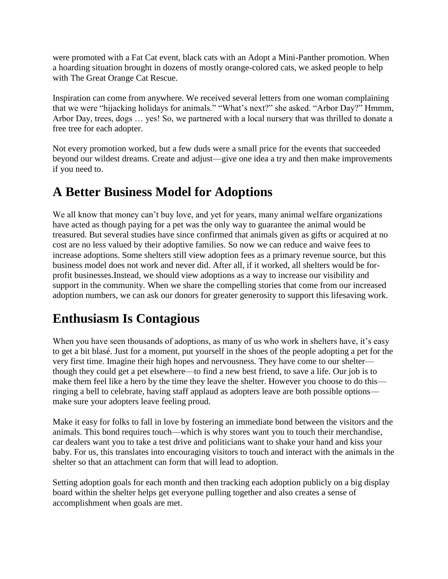were promoted with a Fat Cat event, black cats with an Adopt a Mini-Panther promotion. When a hoarding situation brought in dozens of mostly orange-colored cats, we asked people to help with The Great Orange Cat Rescue.

Inspiration can come from anywhere. We received several letters from one woman complaining that we were "hijacking holidays for animals." "What's next?" she asked. "Arbor Day?" Hmmm, Arbor Day, trees, dogs … yes! So, we partnered with a local nursery that was thrilled to donate a free tree for each adopter.

Not every promotion worked, but a few duds were a small price for the events that succeeded beyond our wildest dreams. Create and adjust—give one idea a try and then make improvements if you need to.

### **A Better Business Model for Adoptions**

We all know that money can't buy love, and yet for years, many animal welfare organizations have acted as though paying for a pet was the only way to guarantee the animal would be treasured. But several studies have since confirmed that animals given as gifts or acquired at no cost are no less valued by their adoptive families. So now we can reduce and waive fees to increase adoptions. Some shelters still view adoption fees as a primary revenue source, but this business model does not work and never did. After all, if it worked, all shelters would be forprofit businesses.Instead, we should view adoptions as a way to increase our visibility and support in the community. When we share the compelling stories that come from our increased adoption numbers, we can ask our donors for greater generosity to support this lifesaving work.

### **Enthusiasm Is Contagious**

When you have seen thousands of adoptions, as many of us who work in shelters have, it's easy to get a bit blasé. Just for a moment, put yourself in the shoes of the people adopting a pet for the very first time. Imagine their high hopes and nervousness. They have come to our shelter though they could get a pet elsewhere—to find a new best friend, to save a life. Our job is to make them feel like a hero by the time they leave the shelter. However you choose to do this ringing a bell to celebrate, having staff applaud as adopters leave are both possible options make sure your adopters leave feeling proud.

Make it easy for folks to fall in love by fostering an immediate bond between the visitors and the animals. This bond requires touch—which is why stores want you to touch their merchandise, car dealers want you to take a test drive and politicians want to shake your hand and kiss your baby. For us, this translates into encouraging visitors to touch and interact with the animals in the shelter so that an attachment can form that will lead to adoption.

Setting adoption goals for each month and then tracking each adoption publicly on a big display board within the shelter helps get everyone pulling together and also creates a sense of accomplishment when goals are met.